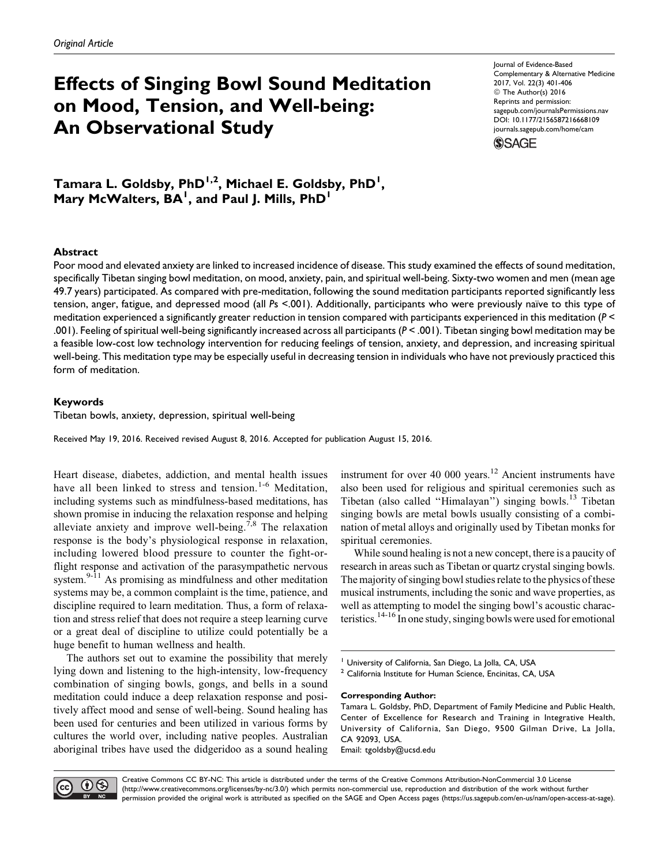# Effects of Singing Bowl Sound Meditation on Mood, Tension, and Well-being: An Observational Study

Journal of Evidence-Based Complementary & Alternative Medicine 2017, Vol. 22(3) 401-406 © The Author(s) 2016 Reprints and permission: [sagepub.com/journalsPermissions.nav](https://us.sagepub.com/en-us/journals-permissions) [DOI: 10.1177/2156587216668109](https://doi.org/10.1177/2156587216668109) [journals.sagepub.com/home/cam](http://journals.sagepub.com/home/chp)



Tamara L. Goldsby, PhD<sup>1,2</sup>, Michael E. Goldsby, PhD<sup>1</sup>, Mary McWalters, BA<sup>1</sup>, and Paul J. Mills, PhD<sup>1</sup>

## **Abstract**

Poor mood and elevated anxiety are linked to increased incidence of disease. This study examined the effects of sound meditation, specifically Tibetan singing bowl meditation, on mood, anxiety, pain, and spiritual well-being. Sixty-two women and men (mean age 49.7 years) participated. As compared with pre-meditation, following the sound meditation participants reported significantly less tension, anger, fatigue, and depressed mood (all Ps <.001). Additionally, participants who were previously naïve to this type of meditation experienced a significantly greater reduction in tension compared with participants experienced in this meditation ( $P$  < .001). Feeling of spiritual well-being significantly increased across all participants (P < .001). Tibetan singing bowl meditation may be a feasible low-cost low technology intervention for reducing feelings of tension, anxiety, and depression, and increasing spiritual well-being. This meditation type may be especially useful in decreasing tension in individuals who have not previously practiced this form of meditation.

## Keywords

Tibetan bowls, anxiety, depression, spiritual well-being

Received May 19, 2016. Received revised August 8, 2016. Accepted for publication August 15, 2016.

Heart disease, diabetes, addiction, and mental health issues have all been linked to stress and tension.<sup>1-6</sup> Meditation, including systems such as mindfulness-based meditations, has shown promise in inducing the relaxation response and helping alleviate anxiety and improve well-being.<sup> $7,8$ </sup> The relaxation response is the body's physiological response in relaxation, including lowered blood pressure to counter the fight-orflight response and activation of the parasympathetic nervous system. $9-11$  As promising as mindfulness and other meditation systems may be, a common complaint is the time, patience, and discipline required to learn meditation. Thus, a form of relaxation and stress relief that does not require a steep learning curve or a great deal of discipline to utilize could potentially be a huge benefit to human wellness and health.

The authors set out to examine the possibility that merely lying down and listening to the high-intensity, low-frequency combination of singing bowls, gongs, and bells in a sound meditation could induce a deep relaxation response and positively affect mood and sense of well-being. Sound healing has been used for centuries and been utilized in various forms by cultures the world over, including native peoples. Australian aboriginal tribes have used the didgeridoo as a sound healing instrument for over 40 000 years.<sup>12</sup> Ancient instruments have also been used for religious and spiritual ceremonies such as Tibetan (also called ''Himalayan'') singing bowls.<sup>13</sup> Tibetan singing bowls are metal bowls usually consisting of a combination of metal alloys and originally used by Tibetan monks for spiritual ceremonies.

While sound healing is not a new concept, there is a paucity of research in areas such as Tibetan or quartz crystal singing bowls. The majority of singing bowl studies relate to the physics of these musical instruments, including the sonic and wave properties, as well as attempting to model the singing bowl's acoustic characteristics.<sup>14-16</sup> In one study, singing bowls were used for emotional

#### Corresponding Author:

Tamara L. Goldsby, PhD, Department of Family Medicine and Public Health, Center of Excellence for Research and Training in Integrative Health, University of California, San Diego, 9500 Gilman Drive, La Jolla, CA 92093, USA. Email: tgoldsby@ucsd.edu



Creative Commons CC BY-NC: This article is distributed under the terms of the Creative Commons Attribution-NonCommercial 3.0 License (http://www.creativecommons.org/licenses/by-nc/3.0/) which permits non-commercial use, reproduction and distribution of the work without further permission provided the original work is attributed as specified on the SAGE and Open Access pages (https://us.sagepub.com/en-us/nam/open-access-at-sage).

University of California, San Diego, La Jolla, CA, USA

<sup>2</sup> California Institute for Human Science, Encinitas, CA, USA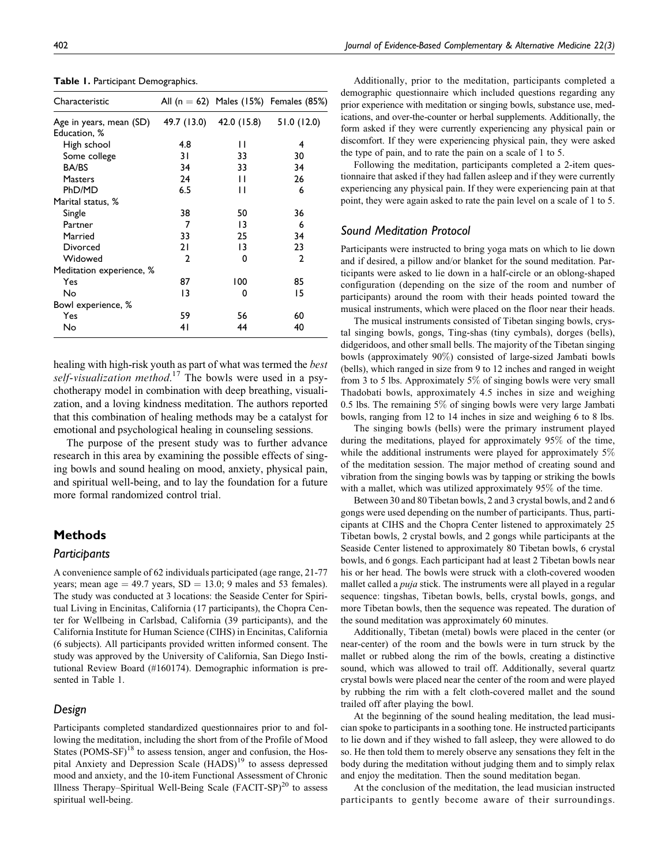| Characteristic           |              |                                     | All (n = 62) Males (15%) Females (85%) |
|--------------------------|--------------|-------------------------------------|----------------------------------------|
| Age in years, mean (SD)  |              | 49.7 (13.0) 42.0 (15.8) 51.0 (12.0) |                                        |
| Education, %             |              |                                     |                                        |
| High school              | 4.8          | П                                   | 4                                      |
| Some college             | 31           | 33                                  | 30                                     |
| <b>BA/BS</b>             | 34           | 33                                  | 34                                     |
| <b>Masters</b>           | 24           | П                                   | 26                                     |
| PhD/MD                   | 6.5          | п                                   | 6                                      |
| Marital status, %        |              |                                     |                                        |
| Single                   | 38           | 50                                  | 36                                     |
| Partner                  | 7            | 13                                  | 6                                      |
| Married                  | 33           | 25                                  | 34                                     |
| Divorced                 | 21           | 13                                  | 23                                     |
| Widowed                  | $\mathbf{2}$ | 0                                   | $\mathbf{2}$                           |
| Meditation experience, % |              |                                     |                                        |
| Yes                      | 87           | 100                                 | 85                                     |
| No                       | 13           | 0                                   | 15                                     |
| Bowl experience, %       |              |                                     |                                        |
| Yes                      | 59           | 56                                  | 60                                     |
| No                       | 41           | 44                                  | 40                                     |
|                          |              |                                     |                                        |

Table 1. Participant Demographics.

healing with high-risk youth as part of what was termed the *best* self-visualization method.<sup>17</sup> The bowls were used in a psychotherapy model in combination with deep breathing, visualization, and a loving kindness meditation. The authors reported that this combination of healing methods may be a catalyst for emotional and psychological healing in counseling sessions.

The purpose of the present study was to further advance research in this area by examining the possible effects of singing bowls and sound healing on mood, anxiety, physical pain, and spiritual well-being, and to lay the foundation for a future more formal randomized control trial.

# Methods

# **Participants**

A convenience sample of 62 individuals participated (age range, 21-77 years; mean age  $= 49.7$  years,  $SD = 13.0$ ; 9 males and 53 females). The study was conducted at 3 locations: the Seaside Center for Spiritual Living in Encinitas, California (17 participants), the Chopra Center for Wellbeing in Carlsbad, California (39 participants), and the California Institute for Human Science (CIHS) in Encinitas, California (6 subjects). All participants provided written informed consent. The study was approved by the University of California, San Diego Institutional Review Board (#160174). Demographic information is presented in Table 1.

# Design

Participants completed standardized questionnaires prior to and following the meditation, including the short from of the Profile of Mood States  $(POMS-SF)^{18}$  to assess tension, anger and confusion, the Hospital Anxiety and Depression Scale (HADS)<sup>19</sup> to assess depressed mood and anxiety, and the 10-item Functional Assessment of Chronic Illness Therapy–Spiritual Well-Being Scale  $(FACIT-SP)^{20}$  to assess spiritual well-being.

Additionally, prior to the meditation, participants completed a demographic questionnaire which included questions regarding any prior experience with meditation or singing bowls, substance use, medications, and over-the-counter or herbal supplements. Additionally, the form asked if they were currently experiencing any physical pain or discomfort. If they were experiencing physical pain, they were asked the type of pain, and to rate the pain on a scale of 1 to 5.

Following the meditation, participants completed a 2-item questionnaire that asked if they had fallen asleep and if they were currently experiencing any physical pain. If they were experiencing pain at that point, they were again asked to rate the pain level on a scale of 1 to 5.

# Sound Meditation Protocol

Participants were instructed to bring yoga mats on which to lie down and if desired, a pillow and/or blanket for the sound meditation. Participants were asked to lie down in a half-circle or an oblong-shaped configuration (depending on the size of the room and number of participants) around the room with their heads pointed toward the musical instruments, which were placed on the floor near their heads.

The musical instruments consisted of Tibetan singing bowls, crystal singing bowls, gongs, Ting-shas (tiny cymbals), dorges (bells), didgeridoos, and other small bells. The majority of the Tibetan singing bowls (approximately 90%) consisted of large-sized Jambati bowls (bells), which ranged in size from 9 to 12 inches and ranged in weight from 3 to 5 lbs. Approximately 5% of singing bowls were very small Thadobati bowls, approximately 4.5 inches in size and weighing 0.5 lbs. The remaining 5% of singing bowls were very large Jambati bowls, ranging from 12 to 14 inches in size and weighing 6 to 8 lbs.

The singing bowls (bells) were the primary instrument played during the meditations, played for approximately 95% of the time, while the additional instruments were played for approximately 5% of the meditation session. The major method of creating sound and vibration from the singing bowls was by tapping or striking the bowls with a mallet, which was utilized approximately 95% of the time.

Between 30 and 80 Tibetan bowls, 2 and 3 crystal bowls, and 2 and 6 gongs were used depending on the number of participants. Thus, participants at CIHS and the Chopra Center listened to approximately 25 Tibetan bowls, 2 crystal bowls, and 2 gongs while participants at the Seaside Center listened to approximately 80 Tibetan bowls, 6 crystal bowls, and 6 gongs. Each participant had at least 2 Tibetan bowls near his or her head. The bowls were struck with a cloth-covered wooden mallet called a *puja* stick. The instruments were all played in a regular sequence: tingshas, Tibetan bowls, bells, crystal bowls, gongs, and more Tibetan bowls, then the sequence was repeated. The duration of the sound meditation was approximately 60 minutes.

Additionally, Tibetan (metal) bowls were placed in the center (or near-center) of the room and the bowls were in turn struck by the mallet or rubbed along the rim of the bowls, creating a distinctive sound, which was allowed to trail off. Additionally, several quartz crystal bowls were placed near the center of the room and were played by rubbing the rim with a felt cloth-covered mallet and the sound trailed off after playing the bowl.

At the beginning of the sound healing meditation, the lead musician spoke to participants in a soothing tone. He instructed participants to lie down and if they wished to fall asleep, they were allowed to do so. He then told them to merely observe any sensations they felt in the body during the meditation without judging them and to simply relax and enjoy the meditation. Then the sound meditation began.

At the conclusion of the meditation, the lead musician instructed participants to gently become aware of their surroundings.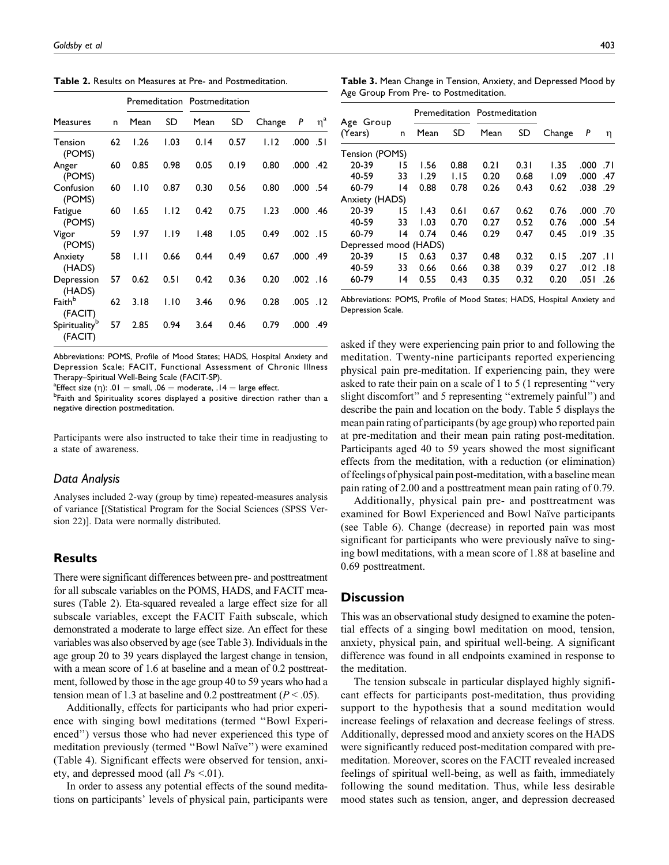Table 2. Results on Measures at Pre- and Postmeditation.

|                                      |    |      | Premeditation<br>Postmeditation |      |      |        |             |          |
|--------------------------------------|----|------|---------------------------------|------|------|--------|-------------|----------|
| <b>Measures</b>                      | n  | Mean | SD                              | Mean | SD   | Change | P           | $\eta^a$ |
| Tension<br>(POMS)                    | 62 | 1.26 | 1.03                            | 0.14 | 0.57 | 1.12   | $.000$ .51  |          |
| Anger<br>(POMS)                      | 60 | 0.85 | 0.98                            | 0.05 | 0.19 | 0.80   | .000 .42    |          |
| Confusion<br>(POMS)                  | 60 | 1.10 | 0.87                            | 0.30 | 0.56 | 0.80   | .000 .54    |          |
| Fatigue<br>(POMS)                    | 60 | 1.65 | 1.12                            | 0.42 | 0.75 | 1.23   | .000.46     |          |
| Vigor<br>(POMS)                      | 59 | 1.97 | 1.19                            | 1.48 | 1.05 | 0.49   | $.002$ . 15 |          |
| Anxiety<br>(HADS)                    | 58 | ЫI   | 0.66                            | 0.44 | 0.49 | 0.67   | .000.49     |          |
| Depression<br>(HADS)                 | 57 | 0.62 | 0.51                            | 0.42 | 0.36 | 0.20   | $.002$ . 16 |          |
| Faith <sup>b</sup><br>(FACIT)        | 62 | 3.18 | 1.10                            | 3.46 | 0.96 | 0.28   | .005        | .12      |
| Spirituality <sup>b</sup><br>(FACIT) | 57 | 2.85 | 0.94                            | 3.64 | 0.46 | 0.79   | .000.49     |          |

Abbreviations: POMS, Profile of Mood States; HADS, Hospital Anxiety and Depression Scale; FACIT, Functional Assessment of Chronic Illness Therapy–Spiritual Well-Being Scale (FACIT-SP).

<sup>a</sup> Effect size ( $\eta$ ): .01 = small, .06 = moderate, .14 = large effect.<br>**bEaith and Spirituality scores displayed a positive direction** 

<sup>b</sup>Faith and Spirituality scores displayed a positive direction rather than a negative direction postmeditation.

Participants were also instructed to take their time in readjusting to a state of awareness.

## Data Analysis

Analyses included 2-way (group by time) repeated-measures analysis of variance [(Statistical Program for the Social Sciences (SPSS Version 22)]. Data were normally distributed.

# Results

There were significant differences between pre- and posttreatment for all subscale variables on the POMS, HADS, and FACIT measures (Table 2). Eta-squared revealed a large effect size for all subscale variables, except the FACIT Faith subscale, which demonstrated a moderate to large effect size. An effect for these variables was also observed by age (see Table 3). Individuals in the age group 20 to 39 years displayed the largest change in tension, with a mean score of 1.6 at baseline and a mean of 0.2 posttreatment, followed by those in the age group 40 to 59 years who had a tension mean of 1.3 at baseline and 0.2 posttreatment ( $P < .05$ ).

Additionally, effects for participants who had prior experience with singing bowl meditations (termed ''Bowl Experienced'') versus those who had never experienced this type of meditation previously (termed "Bowl Naïve") were examined (Table 4). Significant effects were observed for tension, anxiety, and depressed mood (all  $Ps \leq 01$ ).

In order to assess any potential effects of the sound meditations on participants' levels of physical pain, participants were

Table 3. Mean Change in Tension, Anxiety, and Depressed Mood by Age Group From Pre- to Postmeditation.

|                       |    |      |      | Premeditation Postmeditation |      |        |      |          |
|-----------------------|----|------|------|------------------------------|------|--------|------|----------|
| Age Group<br>(Years)  | n  | Mean | SD   | Mean                         | SD   | Change | P    | η        |
| Tension (POMS)        |    |      |      |                              |      |        |      |          |
| 20-39                 | 15 | 1.56 | 0.88 | 0.21                         | 0.31 | 1.35   | .000 | .71      |
| 40-59                 | 33 | 1.29 | 1.15 | 0.20                         | 0.68 | 1.09   | .000 | .47      |
| 60-79                 | 14 | 0.88 | 0.78 | 0.26                         | 0.43 | 0.62   | .038 | .29      |
| Anxiety (HADS)        |    |      |      |                              |      |        |      |          |
| 20-39                 | 15 | 1.43 | 0.61 | 0.67                         | 0.62 | 0.76   | .000 | .70      |
| 40-59                 | 33 | 1.03 | 0.70 | 0.27                         | 0.52 | 0.76   | .000 | .54      |
| 60-79                 | 14 | 0.74 | 0.46 | 0.29                         | 0.47 | 0.45   | .019 | .35      |
| Depressed mood (HADS) |    |      |      |                              |      |        |      |          |
| 20-39                 | 15 | 0.63 | 0.37 | 0.48                         | 0.32 | 0.15   | .207 | $\pm 11$ |
| 40-59                 | 33 | 0.66 | 0.66 | 0.38                         | 0.39 | 0.27   | .012 | 18.      |
| 60-79                 | 14 | 0.55 | 0.43 | 0.35                         | 0.32 | 0.20   | .051 | .26      |

Abbreviations: POMS, Profile of Mood States; HADS, Hospital Anxiety and Depression Scale.

asked if they were experiencing pain prior to and following the meditation. Twenty-nine participants reported experiencing physical pain pre-meditation. If experiencing pain, they were asked to rate their pain on a scale of 1 to 5 (1 representing ''very slight discomfort'' and 5 representing ''extremely painful'') and describe the pain and location on the body. Table 5 displays the mean pain rating of participants (by age group) who reported pain at pre-meditation and their mean pain rating post-meditation. Participants aged 40 to 59 years showed the most significant effects from the meditation, with a reduction (or elimination) of feelings of physical pain post-meditation, with a baseline mean pain rating of 2.00 and a posttreatment mean pain rating of 0.79.

Additionally, physical pain pre- and posttreatment was examined for Bowl Experienced and Bowl Naïve participants (see Table 6). Change (decrease) in reported pain was most significant for participants who were previously naïve to singing bowl meditations, with a mean score of 1.88 at baseline and 0.69 posttreatment.

## Discussion

This was an observational study designed to examine the potential effects of a singing bowl meditation on mood, tension, anxiety, physical pain, and spiritual well-being. A significant difference was found in all endpoints examined in response to the meditation.

The tension subscale in particular displayed highly significant effects for participants post-meditation, thus providing support to the hypothesis that a sound meditation would increase feelings of relaxation and decrease feelings of stress. Additionally, depressed mood and anxiety scores on the HADS were significantly reduced post-meditation compared with premeditation. Moreover, scores on the FACIT revealed increased feelings of spiritual well-being, as well as faith, immediately following the sound meditation. Thus, while less desirable mood states such as tension, anger, and depression decreased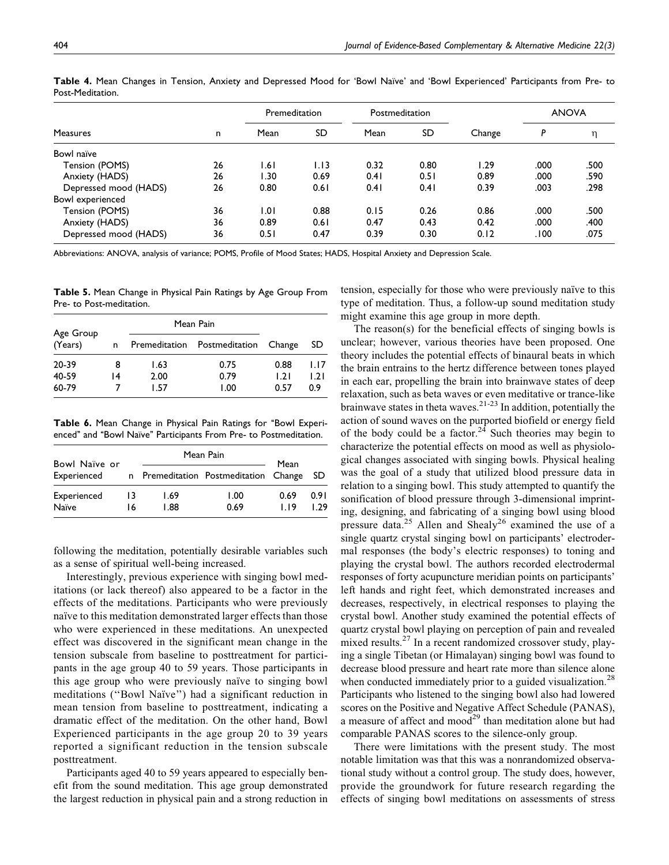|                       | n  | Premeditation |           | Postmeditation |      |        | <b>ANOVA</b> |      |
|-----------------------|----|---------------|-----------|----------------|------|--------|--------------|------|
| <b>Measures</b>       |    | Mean          | <b>SD</b> | Mean           | SD   | Change | P            | η    |
| Bowl naïve            |    |               |           |                |      |        |              |      |
| Tension (POMS)        | 26 | 1.61          | I.I3      | 0.32           | 0.80 | 1.29   | .000         | .500 |
| Anxiety (HADS)        | 26 | 1.30          | 0.69      | 0.41           | 0.51 | 0.89   | .000         | .590 |
| Depressed mood (HADS) | 26 | 0.80          | 0.61      | 0.41           | 0.41 | 0.39   | .003         | .298 |
| Bowl experienced      |    |               |           |                |      |        |              |      |
| Tension (POMS)        | 36 | 1.01          | 0.88      | 0.15           | 0.26 | 0.86   | .000         | .500 |
| Anxiety (HADS)        | 36 | 0.89          | 0.61      | 0.47           | 0.43 | 0.42   | .000         | .400 |
| Depressed mood (HADS) | 36 | 0.51          | 0.47      | 0.39           | 0.30 | 0.12   | .100         | .075 |

Table 4. Mean Changes in Tension, Anxiety and Depressed Mood for 'Bowl Naïve' and 'Bowl Experienced' Participants from Pre- to Post-Meditation.

Abbreviations: ANOVA, analysis of variance; POMS, Profile of Mood States; HADS, Hospital Anxiety and Depression Scale.

Table 5. Mean Change in Physical Pain Ratings by Age Group From Pre- to Post-meditation.

| Age Group |    | Mean Pain |                              |        |      |
|-----------|----|-----------|------------------------------|--------|------|
| (Years)   | n  |           | Premeditation Postmeditation | Change | SD   |
| 20-39     | 8  | 1.63      | 0.75                         | 0.88   | 1.17 |
| 40-59     | 14 | 2.00      | 0.79                         | 1.21   | 1.21 |
| 60-79     |    | l 57      | 1.00                         | 0.57   | 0.9  |

Table 6. Mean Change in Physical Pain Ratings for "Bowl Experienced" and "Bowl Naïve" Participants From Pre- to Postmeditation.

| Bowl Naïve or        |          | Mean Pain    | Mean                                  |              |                    |
|----------------------|----------|--------------|---------------------------------------|--------------|--------------------|
| Experienced          |          |              | n Premeditation Postmeditation Change |              | -SD                |
| Experienced<br>Naïve | 13<br>16 | I.69<br>1.88 | 1.00<br>0.69                          | 0.69<br>I 19 | 0.91<br><b>129</b> |

following the meditation, potentially desirable variables such as a sense of spiritual well-being increased.

Interestingly, previous experience with singing bowl meditations (or lack thereof) also appeared to be a factor in the effects of the meditations. Participants who were previously naïve to this meditation demonstrated larger effects than those who were experienced in these meditations. An unexpected effect was discovered in the significant mean change in the tension subscale from baseline to posttreatment for participants in the age group 40 to 59 years. Those participants in this age group who were previously naïve to singing bowl meditations ("Bowl Naïve") had a significant reduction in mean tension from baseline to posttreatment, indicating a dramatic effect of the meditation. On the other hand, Bowl Experienced participants in the age group 20 to 39 years reported a significant reduction in the tension subscale posttreatment.

Participants aged 40 to 59 years appeared to especially benefit from the sound meditation. This age group demonstrated the largest reduction in physical pain and a strong reduction in

tension, especially for those who were previously naïve to this type of meditation. Thus, a follow-up sound meditation study might examine this age group in more depth.

The reason(s) for the beneficial effects of singing bowls is unclear; however, various theories have been proposed. One theory includes the potential effects of binaural beats in which the brain entrains to the hertz difference between tones played in each ear, propelling the brain into brainwave states of deep relaxation, such as beta waves or even meditative or trance-like brainwave states in theta waves.21-23 In addition, potentially the action of sound waves on the purported biofield or energy field of the body could be a factor.<sup>24</sup> Such theories may begin to characterize the potential effects on mood as well as physiological changes associated with singing bowls. Physical healing was the goal of a study that utilized blood pressure data in relation to a singing bowl. This study attempted to quantify the sonification of blood pressure through 3-dimensional imprinting, designing, and fabricating of a singing bowl using blood pressure data.<sup>25</sup> Allen and Shealy<sup>26</sup> examined the use of a single quartz crystal singing bowl on participants' electrodermal responses (the body's electric responses) to toning and playing the crystal bowl. The authors recorded electrodermal responses of forty acupuncture meridian points on participants' left hands and right feet, which demonstrated increases and decreases, respectively, in electrical responses to playing the crystal bowl. Another study examined the potential effects of quartz crystal bowl playing on perception of pain and revealed mixed results. $27$  In a recent randomized crossover study, playing a single Tibetan (or Himalayan) singing bowl was found to decrease blood pressure and heart rate more than silence alone when conducted immediately prior to a guided visualization.<sup>28</sup> Participants who listened to the singing bowl also had lowered scores on the Positive and Negative Affect Schedule (PANAS), a measure of affect and mood<sup>29</sup> than meditation alone but had comparable PANAS scores to the silence-only group.

There were limitations with the present study. The most notable limitation was that this was a nonrandomized observational study without a control group. The study does, however, provide the groundwork for future research regarding the effects of singing bowl meditations on assessments of stress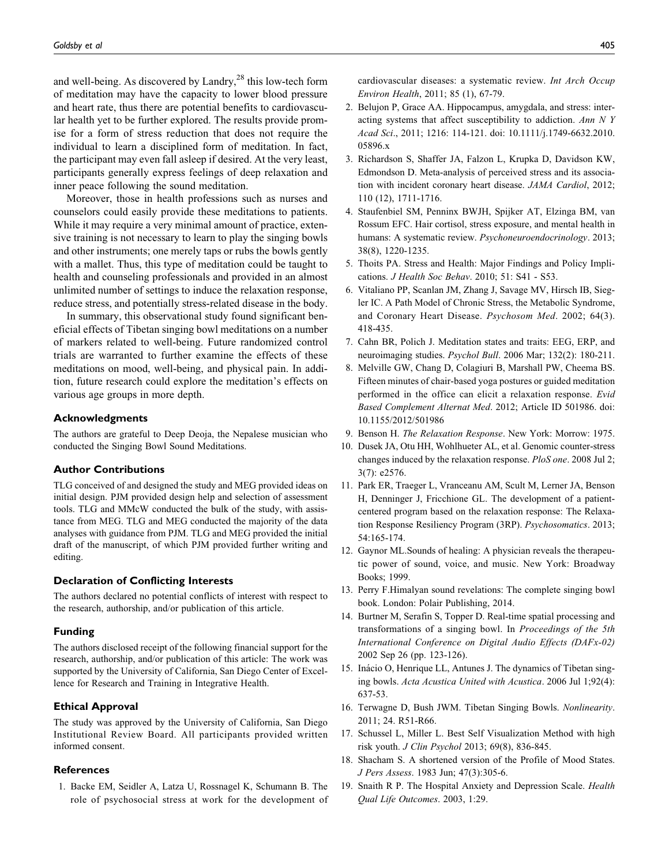and well-being. As discovered by Landry, $28$  this low-tech form of meditation may have the capacity to lower blood pressure and heart rate, thus there are potential benefits to cardiovascular health yet to be further explored. The results provide promise for a form of stress reduction that does not require the individual to learn a disciplined form of meditation. In fact, the participant may even fall asleep if desired. At the very least, participants generally express feelings of deep relaxation and inner peace following the sound meditation.

Moreover, those in health professions such as nurses and counselors could easily provide these meditations to patients. While it may require a very minimal amount of practice, extensive training is not necessary to learn to play the singing bowls and other instruments; one merely taps or rubs the bowls gently with a mallet. Thus, this type of meditation could be taught to health and counseling professionals and provided in an almost unlimited number of settings to induce the relaxation response, reduce stress, and potentially stress-related disease in the body.

In summary, this observational study found significant beneficial effects of Tibetan singing bowl meditations on a number of markers related to well-being. Future randomized control trials are warranted to further examine the effects of these meditations on mood, well-being, and physical pain. In addition, future research could explore the meditation's effects on various age groups in more depth.

#### Acknowledgments

The authors are grateful to Deep Deoja, the Nepalese musician who conducted the Singing Bowl Sound Meditations.

# Author Contributions

TLG conceived of and designed the study and MEG provided ideas on initial design. PJM provided design help and selection of assessment tools. TLG and MMcW conducted the bulk of the study, with assistance from MEG. TLG and MEG conducted the majority of the data analyses with guidance from PJM. TLG and MEG provided the initial draft of the manuscript, of which PJM provided further writing and editing.

#### Declaration of Conflicting Interests

The authors declared no potential conflicts of interest with respect to the research, authorship, and/or publication of this article.

#### Funding

The authors disclosed receipt of the following financial support for the research, authorship, and/or publication of this article: The work was supported by the University of California, San Diego Center of Excellence for Research and Training in Integrative Health.

## Ethical Approval

The study was approved by the University of California, San Diego Institutional Review Board. All participants provided written informed consent.

# **References**

1. Backe EM, Seidler A, Latza U, Rossnagel K, Schumann B. The role of psychosocial stress at work for the development of cardiovascular diseases: a systematic review. Int Arch Occup Environ Health, 2011; 85 (1), 67-79.

- 2. Belujon P, Grace AA. Hippocampus, amygdala, and stress: interacting systems that affect susceptibility to addiction. Ann N Y Acad Sci., 2011; 1216: 114-121. doi: 10.1111/j.1749-6632.2010. 05896.x
- 3. Richardson S, Shaffer JA, Falzon L, Krupka D, Davidson KW, Edmondson D. Meta-analysis of perceived stress and its association with incident coronary heart disease. JAMA Cardiol, 2012; 110 (12), 1711-1716.
- 4. Staufenbiel SM, Penninx BWJH, Spijker AT, Elzinga BM, van Rossum EFC. Hair cortisol, stress exposure, and mental health in humans: A systematic review. Psychoneuroendocrinology. 2013; 38(8), 1220-1235.
- 5. Thoits PA. Stress and Health: Major Findings and Policy Implications. J Health Soc Behav. 2010; 51: S41 - S53.
- 6. Vitaliano PP, Scanlan JM, Zhang J, Savage MV, Hirsch IB, Siegler IC. A Path Model of Chronic Stress, the Metabolic Syndrome, and Coronary Heart Disease. Psychosom Med. 2002; 64(3). 418-435.
- 7. Cahn BR, Polich J. Meditation states and traits: EEG, ERP, and neuroimaging studies. Psychol Bull. 2006 Mar; 132(2): 180-211.
- 8. Melville GW, Chang D, Colagiuri B, Marshall PW, Cheema BS. Fifteen minutes of chair-based yoga postures or guided meditation performed in the office can elicit a relaxation response. Evid Based Complement Alternat Med. 2012; Article ID 501986. doi: 10.1155/2012/501986
- 9. Benson H. The Relaxation Response. New York: Morrow: 1975.
- 10. Dusek JA, Otu HH, Wohlhueter AL, et al. Genomic counter-stress changes induced by the relaxation response. PloS one. 2008 Jul 2; 3(7): e2576.
- 11. Park ER, Traeger L, Vranceanu AM, Scult M, Lerner JA, Benson H, Denninger J, Fricchione GL. The development of a patientcentered program based on the relaxation response: The Relaxation Response Resiliency Program (3RP). Psychosomatics. 2013; 54:165-174.
- 12. Gaynor ML.Sounds of healing: A physician reveals the therapeutic power of sound, voice, and music. New York: Broadway Books; 1999.
- 13. Perry F.Himalyan sound revelations: The complete singing bowl book. London: Polair Publishing, 2014.
- 14. Burtner M, Serafin S, Topper D. Real-time spatial processing and transformations of a singing bowl. In Proceedings of the 5th International Conference on Digital Audio Effects (DAFx-02) 2002 Sep 26 (pp. 123-126).
- 15. Inácio O, Henrique LL, Antunes J. The dynamics of Tibetan singing bowls. Acta Acustica United with Acustica. 2006 Jul 1;92(4): 637-53.
- 16. Terwagne D, Bush JWM. Tibetan Singing Bowls. Nonlinearity. 2011; 24. R51-R66.
- 17. Schussel L, Miller L. Best Self Visualization Method with high risk youth. J Clin Psychol 2013; 69(8), 836-845.
- 18. Shacham S. A shortened version of the Profile of Mood States. J Pers Assess. 1983 Jun; 47(3):305-6.
- 19. Snaith R P. The Hospital Anxiety and Depression Scale. Health Qual Life Outcomes. 2003, 1:29.